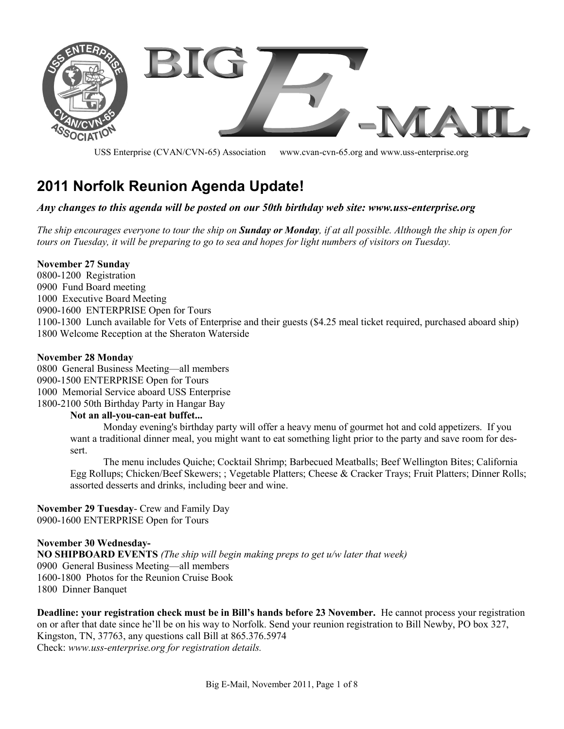

USS Enterprise (CVAN/CVN-65) Association www.cvan-cvn-65.org and www.uss-enterprise.org

# **2011 Norfolk Reunion Agenda Update!**

#### *Any changes to this agenda will be posted on our 50th birthday web site: www.uss-enterprise.org*

*The ship encourages everyone to tour the ship on Sunday or Monday, if at all possible. Although the ship is open for tours on Tuesday, it will be preparing to go to sea and hopes for light numbers of visitors on Tuesday.*

#### **November 27 Sunday**

-1200 Registration Fund Board meeting Executive Board Meeting -1600 ENTERPRISE Open for Tours -1300 Lunch available for Vets of Enterprise and their guests (\$4.25 meal ticket required, purchased aboard ship) 1800 Welcome Reception at the Sheraton Waterside

#### **November 28 Monday**

 General Business Meeting—all members -1500 ENTERPRISE Open for Tours Memorial Service aboard USS Enterprise -2100 50th Birthday Party in Hangar Bay

#### **Not an all-you-can-eat buffet...**

Monday evening's birthday party will offer a heavy menu of gourmet hot and cold appetizers. If you want a traditional dinner meal, you might want to eat something light prior to the party and save room for dessert.

The menu includes Quiche; Cocktail Shrimp; Barbecued Meatballs; Beef Wellington Bites; California Egg Rollups; Chicken/Beef Skewers; ; Vegetable Platters; Cheese & Cracker Trays; Fruit Platters; Dinner Rolls; assorted desserts and drinks, including beer and wine.

**November 29 Tuesday**- Crew and Family Day 0900-1600 ENTERPRISE Open for Tours

**November 30 Wednesday-NO SHIPBOARD EVENTS** *(The ship will begin making preps to get u/w later that week)* 0900 General Business Meeting—all members 1600-1800 Photos for the Reunion Cruise Book 1800 Dinner Banquet

**Deadline: your registration check must be in Bill's hands before 23 November.** He cannot process your registration on or after that date since he'll be on his way to Norfolk. Send your reunion registration to Bill Newby, PO box 327, Kingston, TN, 37763, any questions call Bill at 865.376.5974 Check: *www.uss-enterprise.org for registration details.*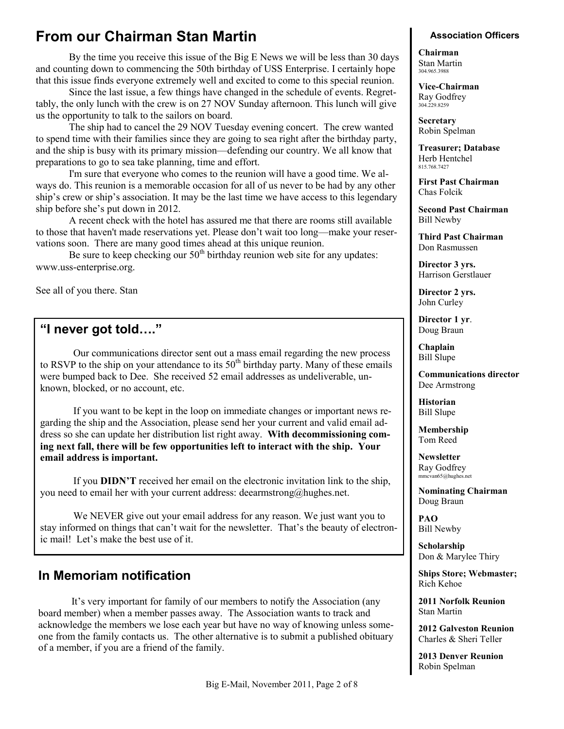## **From our Chairman Stan Martin**

By the time you receive this issue of the Big E News we will be less than 30 days and counting down to commencing the 50th birthday of USS Enterprise. I certainly hope that this issue finds everyone extremely well and excited to come to this special reunion.

Since the last issue, a few things have changed in the schedule of events. Regrettably, the only lunch with the crew is on 27 NOV Sunday afternoon. This lunch will give us the opportunity to talk to the sailors on board.

The ship had to cancel the 29 NOV Tuesday evening concert. The crew wanted to spend time with their families since they are going to sea right after the birthday party, and the ship is busy with its primary mission—defending our country. We all know that preparations to go to sea take planning, time and effort.

I'm sure that everyone who comes to the reunion will have a good time. We always do. This reunion is a memorable occasion for all of us never to be had by any other ship's crew or ship's association. It may be the last time we have access to this legendary ship before she's put down in 2012.

A recent check with the hotel has assured me that there are rooms still available to those that haven't made reservations yet. Please don't wait too long—make your reservations soon. There are many good times ahead at this unique reunion.

Be sure to keep checking our  $50<sup>th</sup>$  birthday reunion web site for any updates: www.uss-enterprise.org.

See all of you there. Stan

### **"I never got told…."**

Our communications director sent out a mass email regarding the new process to RSVP to the ship on your attendance to its  $50<sup>th</sup>$  birthday party. Many of these emails were bumped back to Dee. She received 52 email addresses as undeliverable, unknown, blocked, or no account, etc.

If you want to be kept in the loop on immediate changes or important news regarding the ship and the Association, please send her your current and valid email address so she can update her distribution list right away. **With decommissioning coming next fall, there will be few opportunities left to interact with the ship. Your email address is important.**

If you **DIDN'T** received her email on the electronic invitation link to the ship, you need to email her with your current address: deearmstrong@hughes.net.

We NEVER give out your email address for any reason. We just want you to stay informed on things that can't wait for the newsletter. That's the beauty of electronic mail! Let's make the best use of it.

### **In Memoriam notification**

It's very important for family of our members to notify the Association (any board member) when a member passes away. The Association wants to track and acknowledge the members we lose each year but have no way of knowing unless someone from the family contacts us. The other alternative is to submit a published obituary of a member, if you are a friend of the family.

#### **Association Officers**

**Chairman** Stan Martin 304.965.3988

**Vice-Chairman** Ray Godfrey 304.229.8259

**Secretary** Robin Spelman

**Treasurer; Database** Herb Hentchel 815.768.7427

**First Past Chairman** Chas Folcik

**Second Past Chairman** Bill Newby

**Third Past Chairman** Don Rasmussen

**Director 3 yrs.** Harrison Gerstlauer

**Director 2 yrs.** John Curley

**Director 1 yr**. Doug Braun

**Chaplain** Bill Slupe

**Communications director** Dee Armstrong

**Historian** Bill Slupe

**Membership** Tom Reed

**Newsletter** Ray Godfrey mmcvan65@hughes.net

**Nominating Chairman** Doug Braun

**PAO** Bill Newby

**Scholarship** Don & Marylee Thiry

**Ships Store; Webmaster;**  Rich Kehoe

**2011 Norfolk Reunion** Stan Martin

**2012 Galveston Reunion** Charles & Sheri Teller

**2013 Denver Reunion** Robin Spelman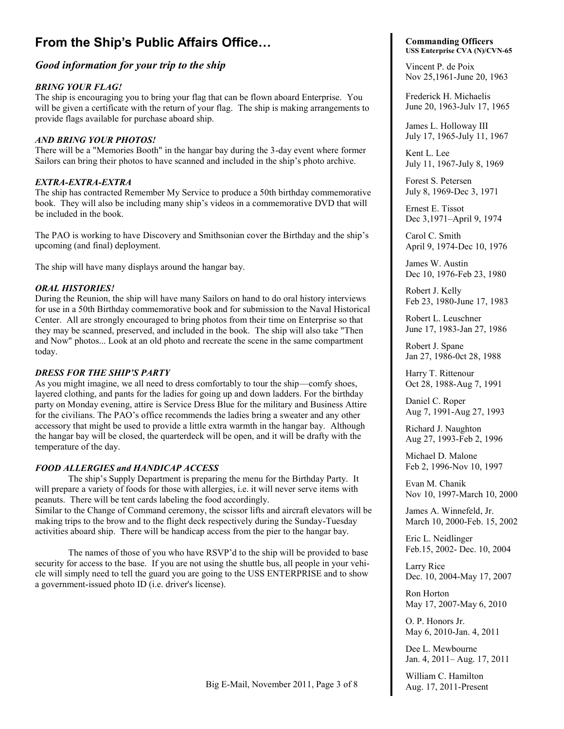## **From the Ship's Public Affairs Office…**

#### *Good information for your trip to the ship*

#### *BRING YOUR FLAG!*

The ship is encouraging you to bring your flag that can be flown aboard Enterprise. You will be given a certificate with the return of your flag. The ship is making arrangements to provide flags available for purchase aboard ship.

#### *AND BRING YOUR PHOTOS!*

There will be a "Memories Booth" in the hangar bay during the 3-day event where former Sailors can bring their photos to have scanned and included in the ship's photo archive.

#### *EXTRA-EXTRA-EXTRA*

The ship has contracted Remember My Service to produce a 50th birthday commemorative book. They will also be including many ship's videos in a commemorative DVD that will be included in the book.

The PAO is working to have Discovery and Smithsonian cover the Birthday and the ship's upcoming (and final) deployment.

The ship will have many displays around the hangar bay.

#### *ORAL HISTORIES!*

During the Reunion, the ship will have many Sailors on hand to do oral history interviews for use in a 50th Birthday commemorative book and for submission to the Naval Historical Center. All are strongly encouraged to bring photos from their time on Enterprise so that they may be scanned, preserved, and included in the book. The ship will also take "Then and Now" photos... Look at an old photo and recreate the scene in the same compartment today.

#### *DRESS FOR THE SHIP'S PARTY*

As you might imagine, we all need to dress comfortably to tour the ship—comfy shoes, layered clothing, and pants for the ladies for going up and down ladders. For the birthday party on Monday evening, attire is Service Dress Blue for the military and Business Attire for the civilians. The PAO's office recommends the ladies bring a sweater and any other accessory that might be used to provide a little extra warmth in the hangar bay. Although the hangar bay will be closed, the quarterdeck will be open, and it will be drafty with the temperature of the day.

#### *FOOD ALLERGIES and HANDICAP ACCESS*

The ship's Supply Department is preparing the menu for the Birthday Party. It will prepare a variety of foods for those with allergies, i.e. it will never serve items with peanuts. There will be tent cards labeling the food accordingly. Similar to the Change of Command ceremony, the scissor lifts and aircraft elevators will be making trips to the brow and to the flight deck respectively during the Sunday-Tuesday activities aboard ship. There will be handicap access from the pier to the hangar bay.

The names of those of you who have RSVP'd to the ship will be provided to base security for access to the base. If you are not using the shuttle bus, all people in your vehicle will simply need to tell the guard you are going to the USS ENTERPRISE and to show a government-issued photo ID (i.e. driver's license).

#### **Commanding Officers USS Enterprise CVA (N)/CVN-65**

Vincent P. de Poix

Nov 25,1961-June 20, 1963

Frederick H. Michaelis June 20, 1963-Julv 17, 1965

James L. Holloway III July 17, 1965-July 11, 1967

Kent L. Lee July 11, 1967-July 8, 1969

Forest S. Petersen July 8, 1969-Dec 3, 1971

Ernest E. Tissot Dec 3,1971–April 9, 1974

Carol C. Smith April 9, 1974-Dec 10, 1976

James W. Austin Dec 10, 1976-Feb 23, 1980

Robert J. Kelly Feb 23, 1980-June 17, 1983

Robert L. Leuschner June 17, 1983-Jan 27, 1986

Robert J. Spane Jan 27, 1986-0ct 28, 1988

Harry T. Rittenour Oct 28, 1988-Aug 7, 1991

Daniel C. Roper Aug 7, 1991-Aug 27, 1993

Richard J. Naughton Aug 27, 1993-Feb 2, 1996

Michael D. Malone Feb 2, 1996-Nov 10, 1997

Evan M. Chanik Nov 10, 1997-March 10, 2000

James A. Winnefeld, Jr. March 10, 2000-Feb. 15, 2002

Eric L. Neidlinger Feb.15, 2002- Dec. 10, 2004

Larry Rice Dec. 10, 2004-May 17, 2007

Ron Horton May 17, 2007-May 6, 2010

O. P. Honors Jr. May 6, 2010-Jan. 4, 2011

Dee L. Mewbourne Jan. 4, 2011– Aug. 17, 2011

William C. Hamilton Aug. 17, 2011-Present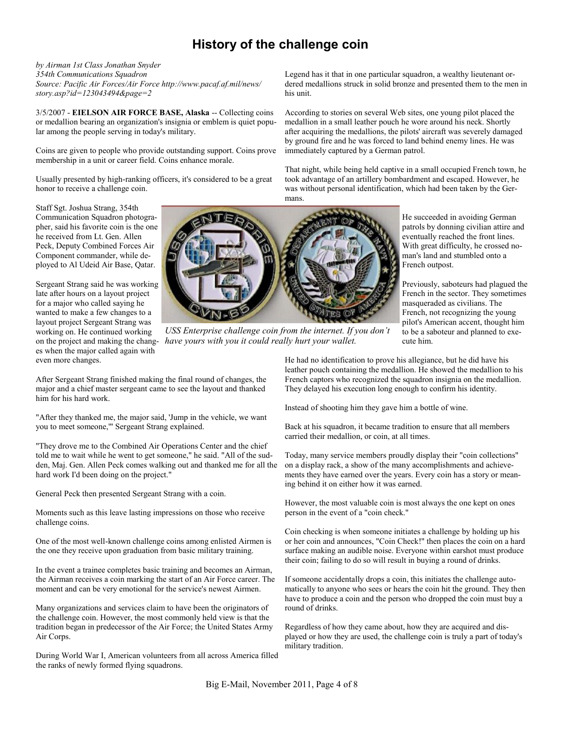## **History of the challenge coin**

*by Airman 1st Class Jonathan Snyder 354th Communications Squadron Source: Pacific Air Forces/Air Force http://www.pacaf.af.mil/news/ story.asp?id=123043494&page=2*

3/5/2007 - **EIELSON AIR FORCE BASE, Alaska** -- Collecting coins or medallion bearing an organization's insignia or emblem is quiet popular among the people serving in today's military.

Coins are given to people who provide outstanding support. Coins prove membership in a unit or career field. Coins enhance morale.

Usually presented by high-ranking officers, it's considered to be a great honor to receive a challenge coin.

Staff Sgt. Joshua Strang, 354th Communication Squadron photographer, said his favorite coin is the one he received from Lt. Gen. Allen Peck, Deputy Combined Forces Air Component commander, while deployed to Al Udeid Air Base, Qatar.

Sergeant Strang said he was working late after hours on a layout project for a major who called saying he wanted to make a few changes to a layout project Sergeant Strang was working on. He continued working on the project and making the changes when the major called again with even more changes.



*USS Enterprise challenge coin from the internet. If you don't have yours with you it could really hurt your wallet.*

After Sergeant Strang finished making the final round of changes, the major and a chief master sergeant came to see the layout and thanked him for his hard work.

"After they thanked me, the major said, 'Jump in the vehicle, we want you to meet someone,'" Sergeant Strang explained.

"They drove me to the Combined Air Operations Center and the chief told me to wait while he went to get someone," he said. "All of the sudden, Maj. Gen. Allen Peck comes walking out and thanked me for all the hard work I'd been doing on the project."

General Peck then presented Sergeant Strang with a coin.

Moments such as this leave lasting impressions on those who receive challenge coins.

One of the most well-known challenge coins among enlisted Airmen is the one they receive upon graduation from basic military training.

In the event a trainee completes basic training and becomes an Airman, the Airman receives a coin marking the start of an Air Force career. The moment and can be very emotional for the service's newest Airmen.

Many organizations and services claim to have been the originators of the challenge coin. However, the most commonly held view is that the tradition began in predecessor of the Air Force; the United States Army Air Corps.

During World War I, American volunteers from all across America filled the ranks of newly formed flying squadrons.

Legend has it that in one particular squadron, a wealthy lieutenant ordered medallions struck in solid bronze and presented them to the men in his unit.

According to stories on several Web sites, one young pilot placed the medallion in a small leather pouch he wore around his neck. Shortly after acquiring the medallions, the pilots' aircraft was severely damaged by ground fire and he was forced to land behind enemy lines. He was immediately captured by a German patrol.

That night, while being held captive in a small occupied French town, he took advantage of an artillery bombardment and escaped. However, he was without personal identification, which had been taken by the Germans.

> He succeeded in avoiding German patrols by donning civilian attire and eventually reached the front lines. With great difficulty, he crossed noman's land and stumbled onto a French outpost.

Previously, saboteurs had plagued the French in the sector. They sometimes masqueraded as civilians. The French, not recognizing the young pilot's American accent, thought him to be a saboteur and planned to execute him.

He had no identification to prove his allegiance, but he did have his leather pouch containing the medallion. He showed the medallion to his French captors who recognized the squadron insignia on the medallion. They delayed his execution long enough to confirm his identity.

Instead of shooting him they gave him a bottle of wine.

Back at his squadron, it became tradition to ensure that all members carried their medallion, or coin, at all times.

Today, many service members proudly display their "coin collections" on a display rack, a show of the many accomplishments and achievements they have earned over the years. Every coin has a story or meaning behind it on either how it was earned.

However, the most valuable coin is most always the one kept on ones person in the event of a "coin check."

Coin checking is when someone initiates a challenge by holding up his or her coin and announces, "Coin Check!" then places the coin on a hard surface making an audible noise. Everyone within earshot must produce their coin; failing to do so will result in buying a round of drinks.

If someone accidentally drops a coin, this initiates the challenge automatically to anyone who sees or hears the coin hit the ground. They then have to produce a coin and the person who dropped the coin must buy a round of drinks.

Regardless of how they came about, how they are acquired and displayed or how they are used, the challenge coin is truly a part of today's military tradition.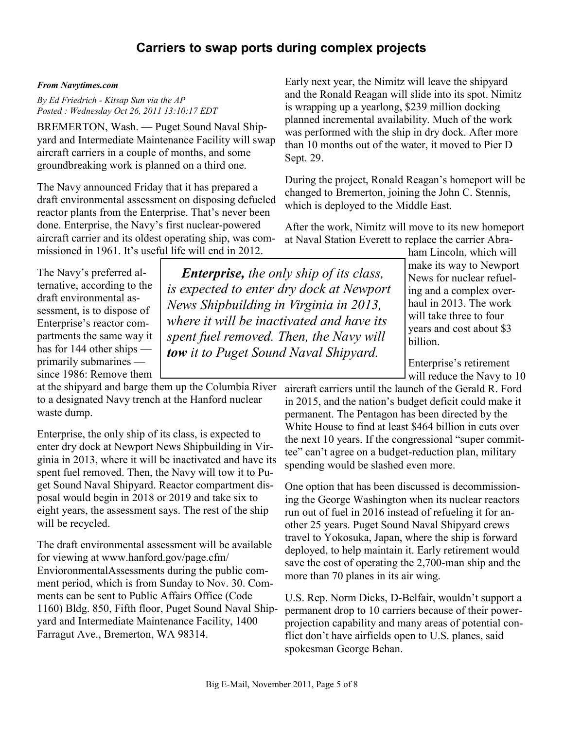### **Carriers to swap ports during complex projects**

*Enterprise, the only ship of its class, is expected to enter dry dock at Newport News Shipbuilding in Virginia in 2013, where it will be inactivated and have its spent fuel removed. Then, the Navy will tow it to Puget Sound Naval Shipyard.* 

#### *From Navytimes.com*

*By Ed Friedrich - Kitsap Sun via the AP Posted : Wednesday Oct 26, 2011 13:10:17 EDT*

BREMERTON, Wash. — Puget Sound Naval Shipyard and Intermediate Maintenance Facility will swap aircraft carriers in a couple of months, and some groundbreaking work is planned on a third one.

The Navy announced Friday that it has prepared a draft environmental assessment on disposing defueled reactor plants from the Enterprise. That's never been done. Enterprise, the Navy's first nuclear-powered aircraft carrier and its oldest operating ship, was commissioned in 1961. It's useful life will end in 2012.

The Navy's preferred alternative, according to the draft environmental assessment, is to dispose of Enterprise's reactor compartments the same way it has for 144 other ships primarily submarines since 1986: Remove them

at the shipyard and barge them up the Columbia River to a designated Navy trench at the Hanford nuclear waste dump.

Enterprise, the only ship of its class, is expected to enter dry dock at Newport News Shipbuilding in Virginia in 2013, where it will be inactivated and have its spent fuel removed. Then, the Navy will tow it to Puget Sound Naval Shipyard. Reactor compartment disposal would begin in 2018 or 2019 and take six to eight years, the assessment says. The rest of the ship will be recycled.

The draft environmental assessment will be available for viewing at www.hanford.gov/page.cfm/ EnvioronmentalAssessments during the public comment period, which is from Sunday to Nov. 30. Comments can be sent to Public Affairs Office (Code 1160) Bldg. 850, Fifth floor, Puget Sound Naval Shipyard and Intermediate Maintenance Facility, 1400 Farragut Ave., Bremerton, WA 98314.

Early next year, the Nimitz will leave the shipyard and the Ronald Reagan will slide into its spot. Nimitz is wrapping up a yearlong, \$239 million docking planned incremental availability. Much of the work was performed with the ship in dry dock. After more than 10 months out of the water, it moved to Pier D Sept. 29.

During the project, Ronald Reagan's homeport will be changed to Bremerton, joining the John C. Stennis, which is deployed to the Middle East.

After the work, Nimitz will move to its new homeport at Naval Station Everett to replace the carrier Abra-

ham Lincoln, which will make its way to Newport News for nuclear refueling and a complex overhaul in 2013. The work will take three to four years and cost about \$3 billion.

Enterprise's retirement will reduce the Navy to 10

aircraft carriers until the launch of the Gerald R. Ford in 2015, and the nation's budget deficit could make it permanent. The Pentagon has been directed by the White House to find at least \$464 billion in cuts over the next 10 years. If the congressional "super committee" can't agree on a budget-reduction plan, military spending would be slashed even more.

One option that has been discussed is decommissioning the George Washington when its nuclear reactors run out of fuel in 2016 instead of refueling it for another 25 years. Puget Sound Naval Shipyard crews travel to Yokosuka, Japan, where the ship is forward deployed, to help maintain it. Early retirement would save the cost of operating the 2,700-man ship and the more than 70 planes in its air wing.

U.S. Rep. Norm Dicks, D-Belfair, wouldn't support a permanent drop to 10 carriers because of their powerprojection capability and many areas of potential conflict don't have airfields open to U.S. planes, said spokesman George Behan.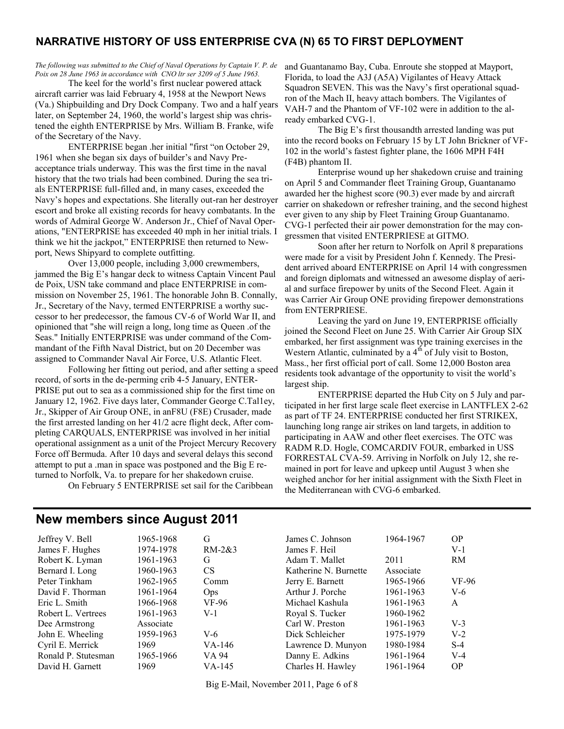#### **NARRATIVE HISTORY OF USS ENTERPRISE CVA (N) 65 TO FIRST DEPLOYMENT**

*The following was submitted to the Chief of Naval Operations by Captain V. P. de Poix on 28 June 1963 in accordance with CNO ltr ser 3209 of 5 June 1963.*

The keel for the world's first nuclear powered attack aircraft carrier was laid February 4, 1958 at the Newport News (Va.) Shipbuilding and Dry Dock Company. Two and a half years later, on September 24, 1960, the world's largest ship was christened the eighth ENTERPRISE by Mrs. William B. Franke, wife of the Secretary of the Navy.

ENTERPRISE began .her initial "first "on October 29, 1961 when she began six days of builder's and Navy Preacceptance trials underway. This was the first time in the naval history that the two trials had been combined. During the sea trials ENTERPRISE full-filled and, in many cases, exceeded the Navy's hopes and expectations. She literally out-ran her destroyer escort and broke all existing records for heavy combatants. In the words of Admiral George W. Anderson Jr., Chief of Naval Operations, "ENTERPRISE has exceeded 40 mph in her initial trials. I think we hit the jackpot," ENTERPRISE then returned to Newport, News Shipyard to complete outfitting.

Over 13,000 people, including 3,000 crewmembers, jammed the Big E's hangar deck to witness Captain Vincent Paul de Poix, USN take command and place ENTERPRISE in commission on November 25, 1961. The honorable John B. Connally, Jr., Secretary of the Navy, termed ENTERPRISE a worthy successor to her predecessor, the famous CV-6 of World War II, and opinioned that "she will reign a long, long time as Queen .of the Seas." Initially ENTERPRISE was under command of the Commandant of the Fifth Naval District, but on 20 December was assigned to Commander Naval Air Force, U.S. Atlantic Fleet.

Following her fitting out period, and after setting a speed record, of sorts in the de-perming crib 4-5 January, ENTER-PRISE put out to sea as a commissioned ship for the first time on January 12, 1962. Five days later, Commander George C.Tal1ey, Jr., Skipper of Air Group ONE, in anF8U (F8E) Crusader, made the first arrested landing on her 41/2 acre flight deck, After completing CARQUALS, ENTERPRISE was involved in her initial operational assignment as a unit of the Project Mercury Recovery Force off Bermuda. After 10 days and several delays this second attempt to put a .man in space was postponed and the Big E returned to Norfolk, Va. to prepare for her shakedown cruise.

On February 5 ENTERPRISE set sail for the Caribbean

and Guantanamo Bay, Cuba. Enroute she stopped at Mayport, Florida, to load the A3J (A5A) Vigilantes of Heavy Attack Squadron SEVEN. This was the Navy's first operational squadron of the Mach II, heavy attach bombers. The Vigilantes of VAH-7 and the Phantom of VF-102 were in addition to the already embarked CVG-1.

The Big E's first thousandth arrested landing was put into the record books on February 15 by LT John Brickner of VF-102 in the world's fastest fighter plane, the 1606 MPH F4H (F4B) phantom II.

Enterprise wound up her shakedown cruise and training on April 5 and Commander fleet Training Group, Guantanamo awarded her the highest score (90.3) ever made by and aircraft carrier on shakedown or refresher training, and the second highest ever given to any ship by Fleet Training Group Guantanamo. CVG-1 perfected their air power demonstration for the may congressmen that visited ENTERPRIESE at GITMO.

Soon after her return to Norfolk on April 8 preparations were made for a visit by President John f. Kennedy. The President arrived aboard ENTERPRISE on April 14 with congressmen and foreign diplomats and witnessed an awesome display of aerial and surface firepower by units of the Second Fleet. Again it was Carrier Air Group ONE providing firepower demonstrations from ENTERPRIESE.

Leaving the yard on June 19, ENTERPRISE officially joined the Second Fleet on June 25. With Carrier Air Group SIX embarked, her first assignment was type training exercises in the Western Atlantic, culminated by a  $4<sup>th</sup>$  of July visit to Boston, Mass., her first official port of call. Some 12,000 Boston area residents took advantage of the opportunity to visit the world's largest ship.

ENTERPRISE departed the Hub City on 5 July and participated in her first large scale fleet exercise in LANTFLEX 2-62 as part of TF 24. ENTERPRISE conducted her first STRIKEX, launching long range air strikes on land targets, in addition to participating in AAW and other fleet exercises. The OTC was RADM R.D. Hogle, COMCARDIV FOUR, embarked in USS FORRESTAL CVA-59. Arriving in Norfolk on July 12, she remained in port for leave and upkeep until August 3 when she weighed anchor for her initial assignment with the Sixth Fleet in the Mediterranean with CVG-6 embarked.

#### **New members since August 2011**

| Jeffrey V. Bell     | 1965-1968 | G              |
|---------------------|-----------|----------------|
| James F. Hughes     | 1974-1978 | RI             |
| Robert K. Lyman     | 1961-1963 | G              |
| Bernard I. Long     | 1960-1963 | C.             |
| Peter Tinkham       | 1962-1965 | $\rm C$        |
| David F. Thorman    | 1961-1964 | O <sub>l</sub> |
| Eric L. Smith       | 1966-1968 | V              |
| Robert L. Vertrees  | 1961-1963 | V.             |
| Dee Armstrong       | Associate |                |
| John E. Wheeling    | 1959-1963 | V              |
| Cyril E. Merrick    | 1969      | V.             |
| Ronald P. Stutesman | 1965-1966 | V.             |
| David H. Garnett    | 1969      | V.             |
|                     |           |                |

1974-1978 RM-2&3 1961-1963 G 1960-1963 CS 1962-1965 Comm 1961-1964 Ops 1966-1968 VF-96 1961-1963 V-1 Associate 1959-1963 V-6 1969 VA-146 1965-1966 VA 94 1969 VA-145

James C. Johnson 1964-1967 OP James F. Heil V-1 Adam T. Mallet 2011 RM Katherine N. Burnette Associate Jerry E. Barnett 1965-1966 VF-96 Arthur J. Porche 1961-1963 V-6 Michael Kashula 1961-1963 A Royal S. Tucker 1960-1962 Carl W. Preston 1961-1963 V-3 Dick Schleicher 1975-1979 V-2 Lawrence D. Munyon 1980-1984 S-4 Danny E. Adkins 1961-1964 V-4 Charles H. Hawley 1961-1964 OP

Big E-Mail, November 2011, Page 6 of 8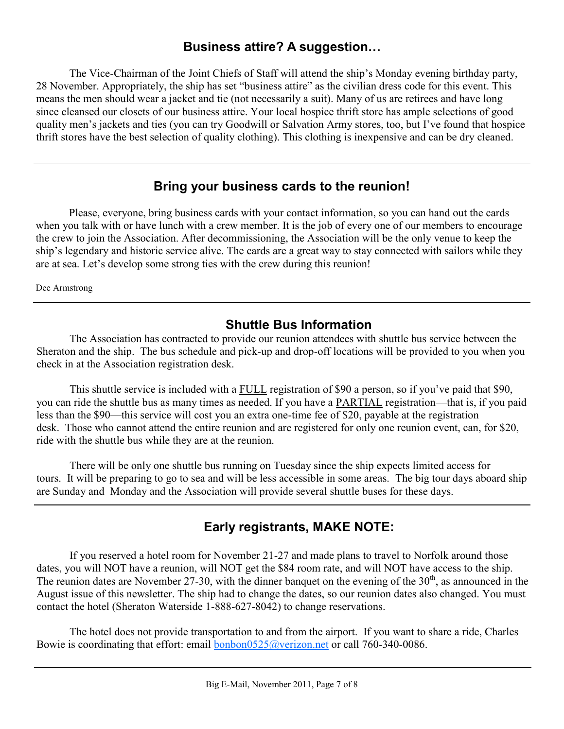### **Business attire? A suggestion…**

The Vice-Chairman of the Joint Chiefs of Staff will attend the ship's Monday evening birthday party, 28 November. Appropriately, the ship has set "business attire" as the civilian dress code for this event. This means the men should wear a jacket and tie (not necessarily a suit). Many of us are retirees and have long since cleansed our closets of our business attire. Your local hospice thrift store has ample selections of good quality men's jackets and ties (you can try Goodwill or Salvation Army stores, too, but I've found that hospice thrift stores have the best selection of quality clothing). This clothing is inexpensive and can be dry cleaned.

### **Bring your business cards to the reunion!**

Please, everyone, bring business cards with your contact information, so you can hand out the cards when you talk with or have lunch with a crew member. It is the job of every one of our members to encourage the crew to join the Association. After decommissioning, the Association will be the only venue to keep the ship's legendary and historic service alive. The cards are a great way to stay connected with sailors while they are at sea. Let's develop some strong ties with the crew during this reunion!

Dee Armstrong

## **Shuttle Bus Information**

The Association has contracted to provide our reunion attendees with shuttle bus service between the Sheraton and the ship. The bus schedule and pick-up and drop-off locations will be provided to you when you check in at the Association registration desk.

This shuttle service is included with a FULL registration of \$90 a person, so if you've paid that \$90, you can ride the shuttle bus as many times as needed. If you have a PARTIAL registration—that is, if you paid less than the \$90—this service will cost you an extra one-time fee of \$20, payable at the registration desk. Those who cannot attend the entire reunion and are registered for only one reunion event, can, for \$20, ride with the shuttle bus while they are at the reunion.

There will be only one shuttle bus running on Tuesday since the ship expects limited access for tours. It will be preparing to go to sea and will be less accessible in some areas. The big tour days aboard ship are Sunday and Monday and the Association will provide several shuttle buses for these days.

## **Early registrants, MAKE NOTE:**

If you reserved a hotel room for November 21-27 and made plans to travel to Norfolk around those dates, you will NOT have a reunion, will NOT get the \$84 room rate, and will NOT have access to the ship. The reunion dates are November 27-30, with the dinner banquet on the evening of the  $30<sup>th</sup>$ , as announced in the August issue of this newsletter. The ship had to change the dates, so our reunion dates also changed. You must contact the hotel (Sheraton Waterside 1-888-627-8042) to change reservations.

The hotel does not provide transportation to and from the airport. If you want to share a ride, Charles Bowie is coordinating that effort: email **bonbon0525@verizon.net** or call 760-340-0086.